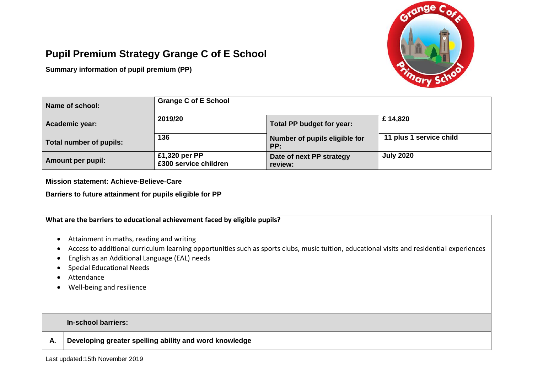

## **Pupil Premium Strategy Grange C of E School**

**Summary information of pupil premium (PP)**

| Name of school:          | <b>Grange C of E School</b>            |                                      |                         |
|--------------------------|----------------------------------------|--------------------------------------|-------------------------|
| Academic year:           | 2019/20                                | Total PP budget for year:            | £14,820                 |
| Total number of pupils:  | 136                                    | Number of pupils eligible for<br>PP: | 11 plus 1 service child |
| <b>Amount per pupil:</b> | £1,320 per PP<br>£300 service children | Date of next PP strategy<br>review:  | <b>July 2020</b>        |

**Mission statement: Achieve-Believe-Care**

**Barriers to future attainment for pupils eligible for PP** 

|    | What are the barriers to educational achievement faced by eligible pupils?                                                                                                                                                                                                                                             |
|----|------------------------------------------------------------------------------------------------------------------------------------------------------------------------------------------------------------------------------------------------------------------------------------------------------------------------|
|    | Attainment in maths, reading and writing<br>Access to additional curriculum learning opportunities such as sports clubs, music tuition, educational visits and residential experiences<br>English as an Additional Language (EAL) needs<br><b>Special Educational Needs</b><br>Attendance<br>Well-being and resilience |
|    | In-school barriers:                                                                                                                                                                                                                                                                                                    |
| Α. | Developing greater spelling ability and word knowledge                                                                                                                                                                                                                                                                 |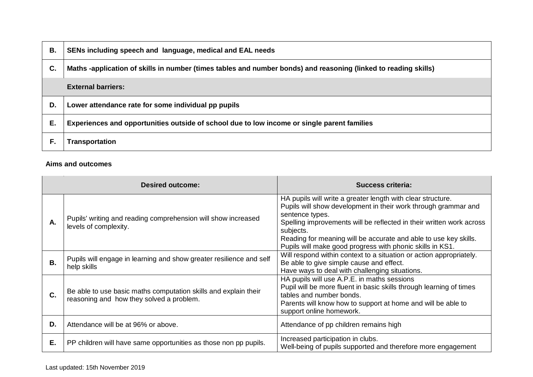| В. | SENs including speech and language, medical and EAL needs                                                       |
|----|-----------------------------------------------------------------------------------------------------------------|
| C. | Maths -application of skills in number (times tables and number bonds) and reasoning (linked to reading skills) |
|    | <b>External barriers:</b>                                                                                       |
| D. | Lower attendance rate for some individual pp pupils                                                             |
| Е. | Experiences and opportunities outside of school due to low income or single parent families                     |
| F. | <b>Transportation</b>                                                                                           |

## **Aims and outcomes**

|    | <b>Desired outcome:</b>                                                                                     | <b>Success criteria:</b>                                                                                                                                                                                                                                                                                                                                               |  |  |
|----|-------------------------------------------------------------------------------------------------------------|------------------------------------------------------------------------------------------------------------------------------------------------------------------------------------------------------------------------------------------------------------------------------------------------------------------------------------------------------------------------|--|--|
| А. | Pupils' writing and reading comprehension will show increased<br>levels of complexity.                      | HA pupils will write a greater length with clear structure.<br>Pupils will show development in their work through grammar and<br>sentence types.<br>Spelling improvements will be reflected in their written work across<br>subjects.<br>Reading for meaning will be accurate and able to use key skills.<br>Pupils will make good progress with phonic skills in KS1. |  |  |
| В. | Pupils will engage in learning and show greater resilience and self<br>help skills                          | Will respond within context to a situation or action appropriately.<br>Be able to give simple cause and effect.<br>Have ways to deal with challenging situations.                                                                                                                                                                                                      |  |  |
| C. | Be able to use basic maths computation skills and explain their<br>reasoning and how they solved a problem. | HA pupils will use A.P.E. in maths sessions<br>Pupil will be more fluent in basic skills through learning of times<br>tables and number bonds.<br>Parents will know how to support at home and will be able to<br>support online homework.                                                                                                                             |  |  |
| D. | Attendance will be at 96% or above.                                                                         | Attendance of pp children remains high                                                                                                                                                                                                                                                                                                                                 |  |  |
| Е. | PP children will have same opportunities as those non pp pupils.                                            | Increased participation in clubs.<br>Well-being of pupils supported and therefore more engagement                                                                                                                                                                                                                                                                      |  |  |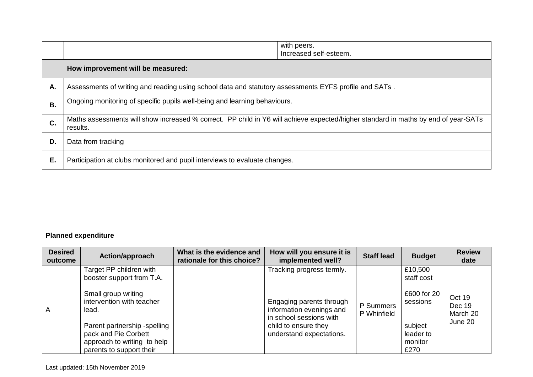|    |                                                                                                                                                | with peers.<br>Increased self-esteem. |  |
|----|------------------------------------------------------------------------------------------------------------------------------------------------|---------------------------------------|--|
|    | How improvement will be measured:                                                                                                              |                                       |  |
| А. | Assessments of writing and reading using school data and statutory assessments EYFS profile and SATs.                                          |                                       |  |
| В. | Ongoing monitoring of specific pupils well-being and learning behaviours.                                                                      |                                       |  |
| C. | Maths assessments will show increased % correct. PP child in Y6 will achieve expected/higher standard in maths by end of year-SATs<br>results. |                                       |  |
| D. | Data from tracking                                                                                                                             |                                       |  |
| Е. | Participation at clubs monitored and pupil interviews to evaluate changes.                                                                     |                                       |  |

## **Planned expenditure**

| <b>Desired</b><br>outcome | Action/approach                                                                                                 | What is the evidence and<br>rationale for this choice? | How will you ensure it is<br>implemented well?                                                                                      | <b>Staff lead</b>        | <b>Budget</b>                           | <b>Review</b><br>date        |
|---------------------------|-----------------------------------------------------------------------------------------------------------------|--------------------------------------------------------|-------------------------------------------------------------------------------------------------------------------------------------|--------------------------|-----------------------------------------|------------------------------|
|                           | Target PP children with<br>booster support from T.A.                                                            |                                                        | Tracking progress termly.                                                                                                           |                          | £10,500<br>staff cost                   |                              |
| A                         | Small group writing<br>intervention with teacher<br>lead.                                                       |                                                        | Engaging parents through<br>information evenings and<br>in school sessions with<br>child to ensure they<br>understand expectations. | P Summers<br>P Whinfield | £600 for 20<br>sessions                 | Oct 19<br>Dec 19<br>March 20 |
|                           | Parent partnership -spelling<br>pack and Pie Corbett<br>approach to writing to help<br>parents to support their |                                                        |                                                                                                                                     |                          | subject<br>leader to<br>monitor<br>£270 | June 20                      |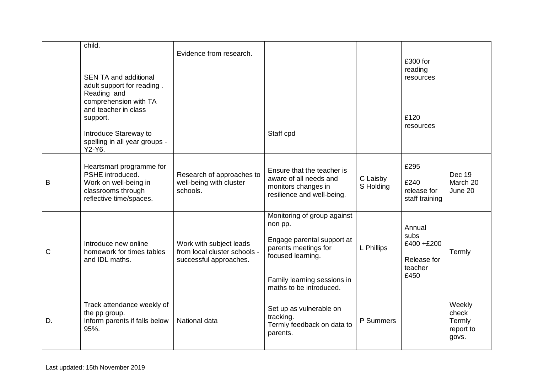|    | child.<br><b>SEN TA and additional</b><br>adult support for reading.<br>Reading and<br>comprehension with TA<br>and teacher in class<br>support.<br>Introduce Stareway to<br>spelling in all year groups -<br>Y2-Y6. | Evidence from research.                                                           | Staff cpd                                                                                                                                                                   |                       | £300 for<br>reading<br>resources<br>£120<br>resources         |                                                 |
|----|----------------------------------------------------------------------------------------------------------------------------------------------------------------------------------------------------------------------|-----------------------------------------------------------------------------------|-----------------------------------------------------------------------------------------------------------------------------------------------------------------------------|-----------------------|---------------------------------------------------------------|-------------------------------------------------|
| B  | Heartsmart programme for<br>PSHE introduced.<br>Work on well-being in<br>classrooms through<br>reflective time/spaces.                                                                                               | Research of approaches to<br>well-being with cluster<br>schools.                  | Ensure that the teacher is<br>aware of all needs and<br>monitors changes in<br>resilience and well-being.                                                                   | C Laisby<br>S Holding | £295<br>£240<br>release for<br>staff training                 | <b>Dec 19</b><br>March 20<br>June 20            |
| C  | Introduce new online<br>homework for times tables<br>and IDL maths.                                                                                                                                                  | Work with subject leads<br>from local cluster schools -<br>successful approaches. | Monitoring of group against<br>non pp.<br>Engage parental support at<br>parents meetings for<br>focused learning.<br>Family learning sessions in<br>maths to be introduced. | L Phillips            | Annual<br>subs<br>£400+£200<br>Release for<br>teacher<br>£450 | Termly                                          |
| D. | Track attendance weekly of<br>the pp group.<br>Inform parents if falls below<br>95%.                                                                                                                                 | National data                                                                     | Set up as vulnerable on<br>tracking.<br>Termly feedback on data to<br>parents.                                                                                              | P Summers             |                                                               | Weekly<br>check<br>Termly<br>report to<br>govs. |